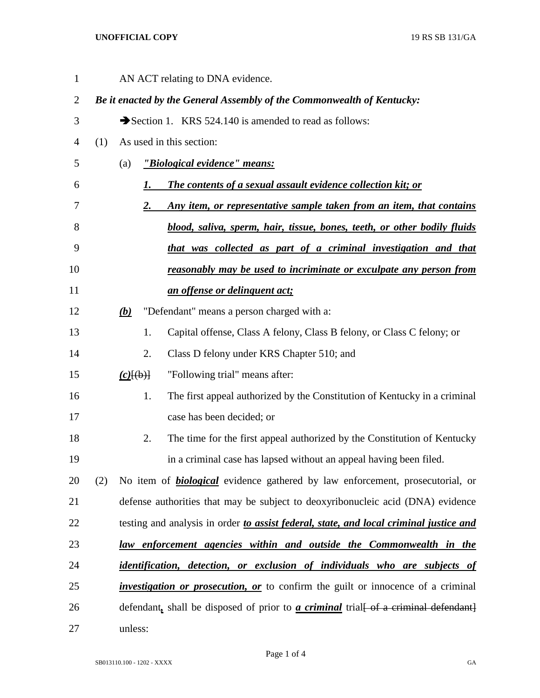## **UNOFFICIAL COPY** 19 RS SB 131/GA

| $\mathbf{1}$   |     |                                                                                 |    | AN ACT relating to DNA evidence.                                                                           |  |  |
|----------------|-----|---------------------------------------------------------------------------------|----|------------------------------------------------------------------------------------------------------------|--|--|
| $\overline{2}$ |     |                                                                                 |    | Be it enacted by the General Assembly of the Commonwealth of Kentucky:                                     |  |  |
| 3              |     |                                                                                 |    | Section 1. KRS 524.140 is amended to read as follows:                                                      |  |  |
| 4              | (1) |                                                                                 |    | As used in this section:                                                                                   |  |  |
| 5              |     | (a)                                                                             |    | "Biological evidence" means:                                                                               |  |  |
| 6              |     |                                                                                 | 1. | The contents of a sexual assault evidence collection kit; or                                               |  |  |
| 7              |     |                                                                                 | 2. | Any item, or representative sample taken from an item, that contains                                       |  |  |
| 8              |     |                                                                                 |    | blood, saliva, sperm, hair, tissue, bones, teeth, or other bodily fluids                                   |  |  |
| 9              |     |                                                                                 |    | that was collected as part of a criminal investigation and that                                            |  |  |
| 10             |     |                                                                                 |    | <u>reasonably may be used to incriminate or exculpate any person from</u>                                  |  |  |
| 11             |     |                                                                                 |    | an offense or delinquent act;                                                                              |  |  |
| 12             |     | <b>(b)</b>                                                                      |    | "Defendant" means a person charged with a:                                                                 |  |  |
| 13             |     |                                                                                 | 1. | Capital offense, Class A felony, Class B felony, or Class C felony; or                                     |  |  |
| 14             |     |                                                                                 | 2. | Class D felony under KRS Chapter 510; and                                                                  |  |  |
| 15             |     | $(c)$ $(\theta)$ }                                                              |    | "Following trial" means after:                                                                             |  |  |
| 16             |     |                                                                                 | 1. | The first appeal authorized by the Constitution of Kentucky in a criminal                                  |  |  |
| 17             |     |                                                                                 |    | case has been decided; or                                                                                  |  |  |
| 18             |     |                                                                                 | 2. | The time for the first appeal authorized by the Constitution of Kentucky                                   |  |  |
| 19             |     |                                                                                 |    | in a criminal case has lapsed without an appeal having been filed.                                         |  |  |
| 20             | (2) |                                                                                 |    | No item of <b>biological</b> evidence gathered by law enforcement, prosecutorial, or                       |  |  |
| 21             |     | defense authorities that may be subject to deoxyribonucleic acid (DNA) evidence |    |                                                                                                            |  |  |
| 22             |     |                                                                                 |    | testing and analysis in order to assist federal, state, and local criminal justice and                     |  |  |
| 23             |     |                                                                                 |    | law enforcement agencies within and outside the Commonwealth in the                                        |  |  |
| 24             |     |                                                                                 |    | identification, detection, or exclusion of individuals who are subjects of                                 |  |  |
| 25             |     |                                                                                 |    | <i>investigation or prosecution, or</i> to confirm the guilt or innocence of a criminal                    |  |  |
| 26             |     |                                                                                 |    | defendant, shall be disposed of prior to $\alpha$ criminal trial $\left\{\text{-}$ of a criminal defendant |  |  |
| 27             |     | unless:                                                                         |    |                                                                                                            |  |  |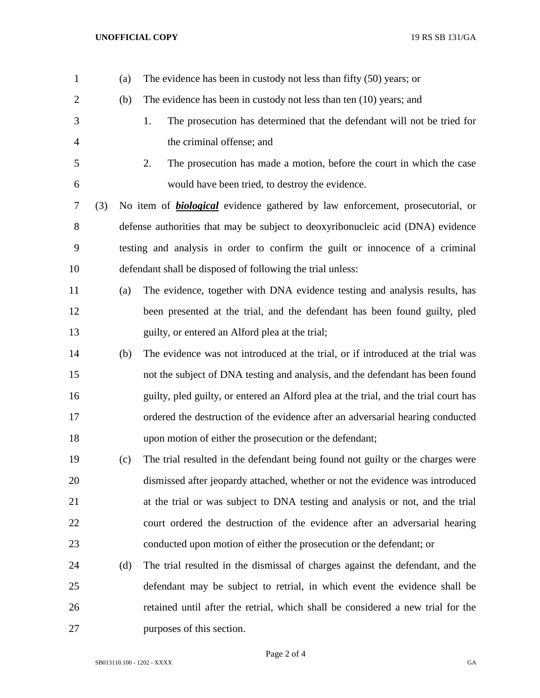## **UNOFFICIAL COPY** 19 RS SB 131/GA

| $\mathbf{1}$   |     | (a) | The evidence has been in custody not less than fifty $(50)$ years; or                |
|----------------|-----|-----|--------------------------------------------------------------------------------------|
| $\overline{2}$ |     | (b) | The evidence has been in custody not less than ten (10) years; and                   |
| 3              |     |     | The prosecution has determined that the defendant will not be tried for<br>1.        |
| 4              |     |     | the criminal offense; and                                                            |
| 5              |     |     | The prosecution has made a motion, before the court in which the case<br>2.          |
| 6              |     |     | would have been tried, to destroy the evidence.                                      |
| 7              | (3) |     | No item of <b>biological</b> evidence gathered by law enforcement, prosecutorial, or |
| 8              |     |     | defense authorities that may be subject to deoxyribonucleic acid (DNA) evidence      |
| 9              |     |     | testing and analysis in order to confirm the guilt or innocence of a criminal        |
| 10             |     |     | defendant shall be disposed of following the trial unless:                           |
| 11             |     | (a) | The evidence, together with DNA evidence testing and analysis results, has           |
| 12             |     |     | been presented at the trial, and the defendant has been found guilty, pled           |
| 13             |     |     | guilty, or entered an Alford plea at the trial;                                      |
| 14             |     | (b) | The evidence was not introduced at the trial, or if introduced at the trial was      |
| 15             |     |     | not the subject of DNA testing and analysis, and the defendant has been found        |
| 16             |     |     | guilty, pled guilty, or entered an Alford plea at the trial, and the trial court has |
| 17             |     |     | ordered the destruction of the evidence after an adversarial hearing conducted       |
| 18             |     |     | upon motion of either the prosecution or the defendant;                              |
| 19             |     | (c) | The trial resulted in the defendant being found not guilty or the charges were       |
| 20             |     |     | dismissed after jeopardy attached, whether or not the evidence was introduced        |
| 21             |     |     | at the trial or was subject to DNA testing and analysis or not, and the trial        |
| 22             |     |     | court ordered the destruction of the evidence after an adversarial hearing           |
| 23             |     |     | conducted upon motion of either the prosecution or the defendant; or                 |
| 24             |     | (d) | The trial resulted in the dismissal of charges against the defendant, and the        |
| 25             |     |     | defendant may be subject to retrial, in which event the evidence shall be            |
| 26             |     |     | retained until after the retrial, which shall be considered a new trial for the      |
| 27             |     |     | purposes of this section.                                                            |

Page 2 of 4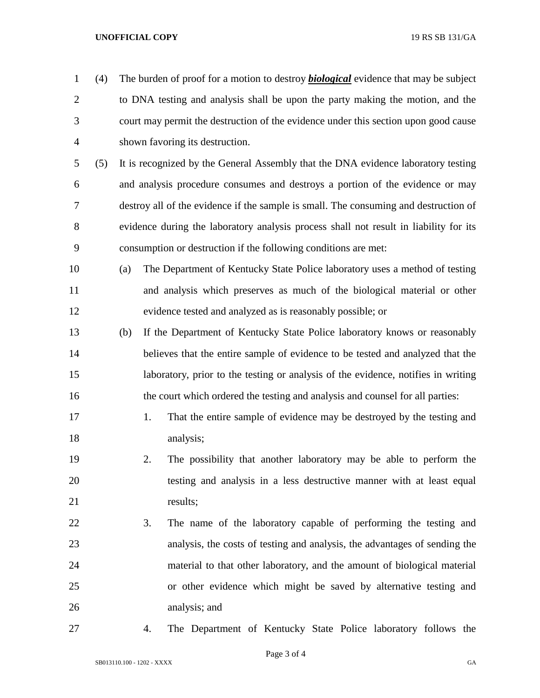## **UNOFFICIAL COPY** 19 RS SB 131/GA

- (4) The burden of proof for a motion to destroy *biological* evidence that may be subject to DNA testing and analysis shall be upon the party making the motion, and the court may permit the destruction of the evidence under this section upon good cause shown favoring its destruction. (5) It is recognized by the General Assembly that the DNA evidence laboratory testing
- and analysis procedure consumes and destroys a portion of the evidence or may destroy all of the evidence if the sample is small. The consuming and destruction of evidence during the laboratory analysis process shall not result in liability for its consumption or destruction if the following conditions are met:
- (a) The Department of Kentucky State Police laboratory uses a method of testing and analysis which preserves as much of the biological material or other evidence tested and analyzed as is reasonably possible; or
- (b) If the Department of Kentucky State Police laboratory knows or reasonably believes that the entire sample of evidence to be tested and analyzed that the laboratory, prior to the testing or analysis of the evidence, notifies in writing the court which ordered the testing and analysis and counsel for all parties:
- 17 1. That the entire sample of evidence may be destroyed by the testing and 18 analysis;
- 2. The possibility that another laboratory may be able to perform the testing and analysis in a less destructive manner with at least equal 21 results;
- 3. The name of the laboratory capable of performing the testing and analysis, the costs of testing and analysis, the advantages of sending the material to that other laboratory, and the amount of biological material or other evidence which might be saved by alternative testing and analysis; and
- 
- 4. The Department of Kentucky State Police laboratory follows the